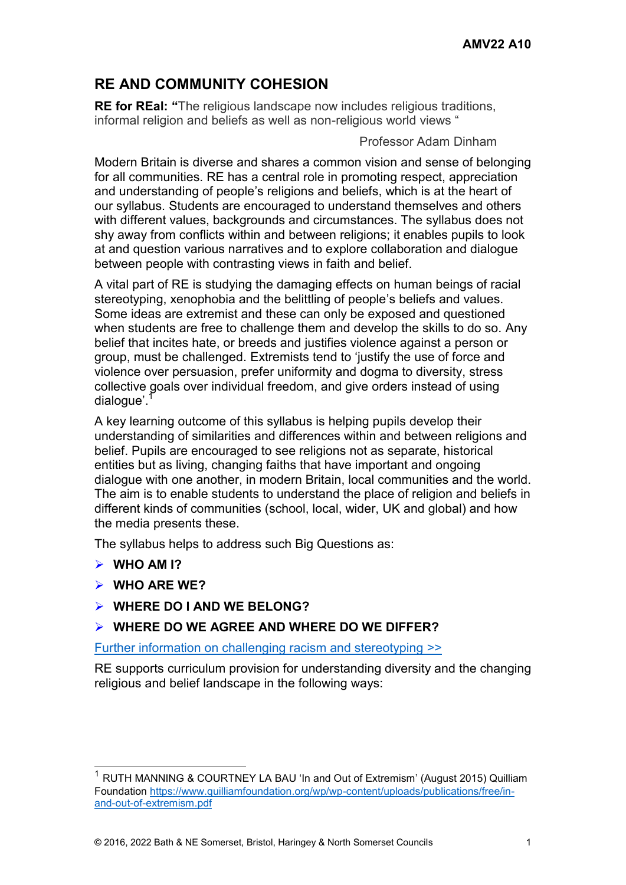# **RE AND COMMUNITY COHESION**

**RE for REal: "**The religious landscape now includes religious traditions, informal religion and beliefs as well as non-religious world views "

Professor Adam Dinham

Modern Britain is diverse and shares a common vision and sense of belonging for all communities. RE has a central role in promoting respect, appreciation and understanding of people's religions and beliefs, which is at the heart of our syllabus. Students are encouraged to understand themselves and others with different values, backgrounds and circumstances. The syllabus does not shy away from conflicts within and between religions; it enables pupils to look at and question various narratives and to explore collaboration and dialogue between people with contrasting views in faith and belief.

A vital part of RE is studying the damaging effects on human beings of racial stereotyping, xenophobia and the belittling of people's beliefs and values. Some ideas are extremist and these can only be exposed and questioned when students are free to challenge them and develop the skills to do so. Any belief that incites hate, or breeds and justifies violence against a person or group, must be challenged. Extremists tend to 'justify the use of force and violence over persuasion, prefer uniformity and dogma to diversity, stress collective goals over individual freedom, and give orders instead of using dialogue'.<sup>1</sup>

A key learning outcome of this syllabus is helping pupils develop their understanding of similarities and differences within and between religions and belief. Pupils are encouraged to see religions not as separate, historical entities but as living, changing faiths that have important and ongoing dialogue with one another, in modern Britain, local communities and the world. The aim is to enable students to understand the place of religion and beliefs in different kinds of communities (school, local, wider, UK and global) and how the media presents these.

The syllabus helps to address such Big Questions as:

**WHO AM I?** 

l

- **WHO ARE WE?**
- **WHERE DO I AND WE BELONG?**

#### **WHERE DO WE AGREE AND WHERE DO WE DIFFER?**

[Further information on challenging racism and stereotyping >>](https://www.awarenessmysteryvalue.org/2016/a09-re-inclusion-religious-cultural/)

RE supports curriculum provision for understanding diversity and the changing religious and belief landscape in the following ways:

<sup>1</sup> RUTH MANNING & COURTNEY LA BAU 'In and Out of Extremism' (August 2015) Quilliam Foundation [https://www.quilliamfoundation.org/wp/wp-content/uploads/publications/free/in](https://www.quilliamfoundation.org/wp/wp-content/uploads/publications/free/in-and-out-of-extremism.pdf)[and-out-of-extremism.pdf](https://www.quilliamfoundation.org/wp/wp-content/uploads/publications/free/in-and-out-of-extremism.pdf)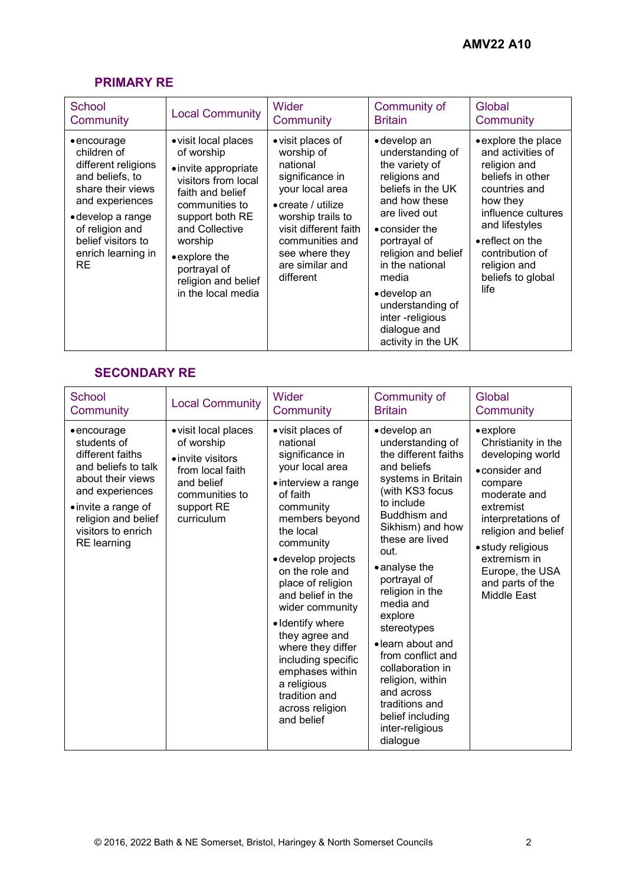## **PRIMARY RE**

| School                                                                                                                                                                                                                        | <b>Local Community</b>                                                                                                                                                                                                                                | Wider                                                                                                                                                                                                                              | Community of                                                                                                                                                                                                                                                                                                          | Global                                                                                                                                                                                                                                        |
|-------------------------------------------------------------------------------------------------------------------------------------------------------------------------------------------------------------------------------|-------------------------------------------------------------------------------------------------------------------------------------------------------------------------------------------------------------------------------------------------------|------------------------------------------------------------------------------------------------------------------------------------------------------------------------------------------------------------------------------------|-----------------------------------------------------------------------------------------------------------------------------------------------------------------------------------------------------------------------------------------------------------------------------------------------------------------------|-----------------------------------------------------------------------------------------------------------------------------------------------------------------------------------------------------------------------------------------------|
| Community                                                                                                                                                                                                                     |                                                                                                                                                                                                                                                       | Community                                                                                                                                                                                                                          | <b>Britain</b>                                                                                                                                                                                                                                                                                                        | Community                                                                                                                                                                                                                                     |
| $\bullet$ encourage<br>children of<br>different religions<br>and beliefs, to<br>share their views<br>and experiences<br>$\bullet$ develop a range<br>of religion and<br>belief visitors to<br>enrich learning in<br><b>RE</b> | • visit local places<br>of worship<br>• invite appropriate<br>visitors from local<br>faith and belief<br>communities to<br>support both RE<br>and Collective<br>worship<br>• explore the<br>portrayal of<br>religion and belief<br>in the local media | • visit places of<br>worship of<br>national<br>significance in<br>your local area<br>$\bullet$ create / utilize<br>worship trails to<br>visit different faith<br>communities and<br>see where they<br>are similar and<br>different | • develop an<br>understanding of<br>the variety of<br>religions and<br>beliefs in the UK<br>and how these<br>are lived out<br>$\bullet$ consider the<br>portrayal of<br>religion and belief<br>in the national<br>media<br>• develop an<br>understanding of<br>inter -religious<br>dialogue and<br>activity in the UK | • explore the place<br>and activities of<br>religion and<br>beliefs in other<br>countries and<br>how they<br>influence cultures<br>and lifestyles<br>$\bullet$ reflect on the<br>contribution of<br>religion and<br>beliefs to global<br>life |

### **SECONDARY RE**

| <b>School</b>                                                                                                                                                                                                   | <b>Local Community</b>                                                                                                                  | Wider                                                                                                                                                                                                                                                                                                                                                                                                                                      | Community of                                                                                                                                                                                                                                                                                                                                                                                                                                                  | Global                                                                                                                                                                                                                                                                |
|-----------------------------------------------------------------------------------------------------------------------------------------------------------------------------------------------------------------|-----------------------------------------------------------------------------------------------------------------------------------------|--------------------------------------------------------------------------------------------------------------------------------------------------------------------------------------------------------------------------------------------------------------------------------------------------------------------------------------------------------------------------------------------------------------------------------------------|---------------------------------------------------------------------------------------------------------------------------------------------------------------------------------------------------------------------------------------------------------------------------------------------------------------------------------------------------------------------------------------------------------------------------------------------------------------|-----------------------------------------------------------------------------------------------------------------------------------------------------------------------------------------------------------------------------------------------------------------------|
| Community                                                                                                                                                                                                       |                                                                                                                                         | Community                                                                                                                                                                                                                                                                                                                                                                                                                                  | <b>Britain</b>                                                                                                                                                                                                                                                                                                                                                                                                                                                | Community                                                                                                                                                                                                                                                             |
| $\bullet$ encourage<br>students of<br>different faiths<br>and beliefs to talk<br>about their views<br>and experiences<br>• invite a range of<br>religion and belief<br>visitors to enrich<br><b>RE</b> learning | · visit local places<br>of worship<br>• invite visitors<br>from local faith<br>and belief<br>communities to<br>support RE<br>curriculum | • visit places of<br>national<br>significance in<br>your local area<br>• interview a range<br>of faith<br>community<br>members beyond<br>the local<br>community<br>· develop projects<br>on the role and<br>place of religion<br>and belief in the<br>wider community<br>• Identify where<br>they agree and<br>where they differ<br>including specific<br>emphases within<br>a religious<br>tradition and<br>across religion<br>and belief | · develop an<br>understanding of<br>the different faiths<br>and beliefs<br>systems in Britain<br>(with KS3 focus<br>to include<br>Buddhism and<br>Sikhism) and how<br>these are lived<br>out.<br>• analyse the<br>portrayal of<br>religion in the<br>media and<br>explore<br>stereotypes<br>• learn about and<br>from conflict and<br>collaboration in<br>religion, within<br>and across<br>traditions and<br>belief including<br>inter-religious<br>dialogue | $\bullet$ explore<br>Christianity in the<br>developing world<br>• consider and<br>compare<br>moderate and<br>extremist<br>interpretations of<br>religion and belief<br>• study religious<br>extremism in<br>Europe, the USA<br>and parts of the<br><b>Middle East</b> |